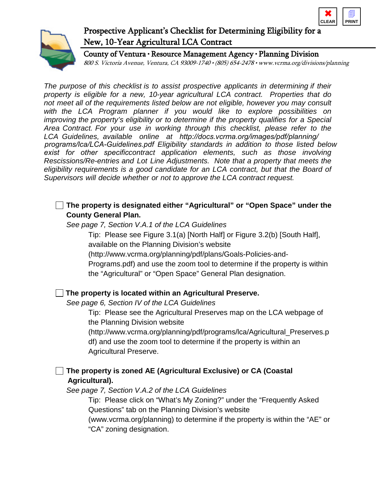



# Prospective Applicant's Checklist for Determining Eligibility for a New, 10-Year Agricultural LCA Contract

County of Ventura • Resource Management Agency • Planning Division 800 S. Victoria Avenue, Ventura, CA 93009-1740 • (805) 654-2478 • www.vcrma.org/divisions/planning

*The purpose of this checklist is to assist prospective applicants in determining if their property is eligible for a new, 10-year agricultural LCA contract. Properties that do not meet all of the requirements listed below are not eligible, however you may consult with the LCA Program planner if you would like to explore possibilities on improving the property's eligibility or to determine if the property qualifies for a Special Area Contract. For your use in working through this checklist, please refer to the LCA Guidelines, available online at http://docs.vcrma.org/images/pdf/planning/ programs/lca/LCA-Guidelines.pdf Eligibility standards in addition to those listed below exist for other specificcontract application elements, such as those involving Rescissions/Re-entries and Lot Line Adjustments. Note that a property that meets the eligibility requirements is a good candidate for an LCA contract, but that the Board of Supervisors will decide whether or not to approve the LCA contract request.* 

## **The property is designated either "Agricultural" or "Open Space" under the County General Plan.**

*See page 7, Section V.A.1 of the LCA Guidelines*

Tip: Please see Figure 3.1(a) [North Half] or Figure 3.2(b) [South Half], available on the Planning Division's website

(http://www.vcrma.org/planning/pdf/plans/Goals-Policies-and-

Programs.pdf) and use the zoom tool to determine if the property is within the "Agricultural" or "Open Space" General Plan designation.

## **The property is located within an Agricultural Preserve.**

*See page 6, Section IV of the LCA Guidelines*

Tip: Please see the Agricultural Preserves map on the LCA webpage of the Planning Division website

(http://www.vcrma.org/planning/pdf/programs/lca/Agricultural\_Preserves.p df) and use the zoom tool to determine if the property is within an Agricultural Preserve.

## **The property is zoned AE (Agricultural Exclusive) or CA (Coastal Agricultural).**

*See page 7, Section V.A.2 of the LCA Guidelines*

Tip: Please click on "What's My Zoning?" under the "Frequently Asked Questions" tab on the Planning Division's website

(www.vcrma.org/planning) to determine if the property is within the "AE" or "CA" zoning designation.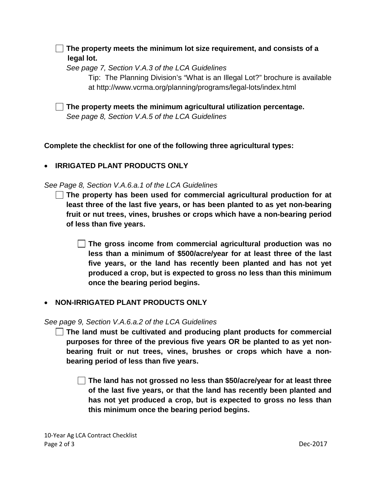**The property meets the minimum lot size requirement, and consists of a legal lot.** 

*See page 7, Section V.A.3 of the LCA Guidelines*

Tip: The Planning Division's "What is an Illegal Lot?" brochure is available at http://www.vcrma.org/planning/programs/legal-lots/index.html

**The property meets the minimum agricultural utilization percentage.** *See page 8, Section V.A.5 of the LCA Guidelines*

**Complete the checklist for one of the following three agricultural types:**

## • **IRRIGATED PLANT PRODUCTS ONLY**

*See Page 8, Section V.A.6.a.1 of the LCA Guidelines*

**The property has been used for commercial agricultural production for at least three of the last five years, or has been planted to as yet non-bearing fruit or nut trees, vines, brushes or crops which have a non-bearing period of less than five years.** 

**The gross income from commercial agricultural production was no less than a minimum of \$500/acre/year for at least three of the last five years, or the land has recently been planted and has not yet produced a crop, but is expected to gross no less than this minimum once the bearing period begins.**

## • **NON-IRRIGATED PLANT PRODUCTS ONLY**

*See page 9, Section V.A.6.a.2 of the LCA Guidelines*

**The land must be cultivated and producing plant products for commercial purposes for three of the previous five years OR be planted to as yet nonbearing fruit or nut trees, vines, brushes or crops which have a nonbearing period of less than five years.**

**The land has not grossed no less than \$50/acre/year for at least three of the last five years, or that the land has recently been planted and has not yet produced a crop, but is expected to gross no less than this minimum once the bearing period begins.**